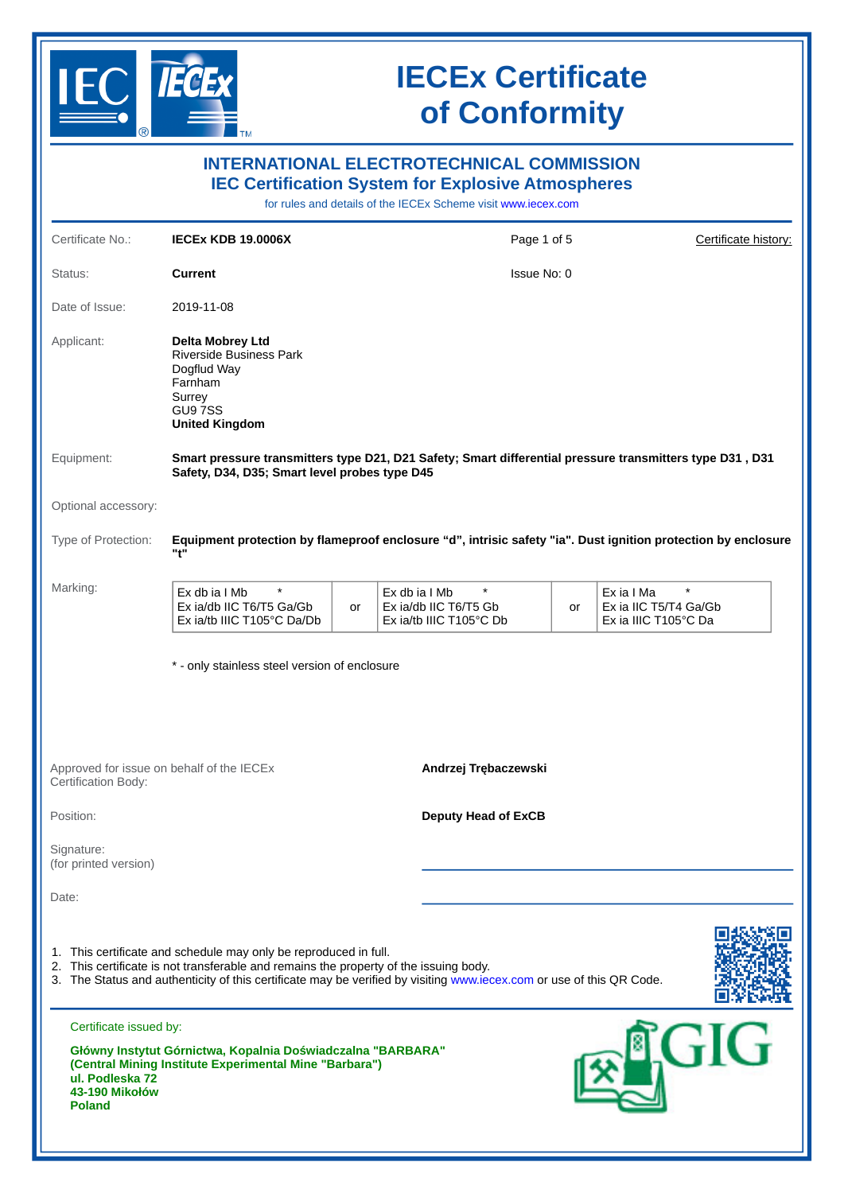

| <b>INTERNATIONAL ELECTROTECHNICAL COMMISSION</b><br><b>IEC Certification System for Explosive Atmospheres</b><br>for rules and details of the IECEx Scheme visit www.iecex.com |                                                                                                                                                           |                      |                                                                                                                      |    |                                                                        |  |  |  |
|--------------------------------------------------------------------------------------------------------------------------------------------------------------------------------|-----------------------------------------------------------------------------------------------------------------------------------------------------------|----------------------|----------------------------------------------------------------------------------------------------------------------|----|------------------------------------------------------------------------|--|--|--|
| Certificate No.:                                                                                                                                                               | <b>IECEX KDB 19.0006X</b>                                                                                                                                 | Certificate history: |                                                                                                                      |    |                                                                        |  |  |  |
| Status:                                                                                                                                                                        | <b>Current</b>                                                                                                                                            | Issue No: 0          |                                                                                                                      |    |                                                                        |  |  |  |
| Date of Issue:                                                                                                                                                                 | 2019-11-08                                                                                                                                                |                      |                                                                                                                      |    |                                                                        |  |  |  |
| Applicant:                                                                                                                                                                     | Delta Mobrey Ltd<br>Riverside Business Park<br>Dogflud Way<br>Farnham<br>Surrey<br>GU97SS<br><b>United Kingdom</b>                                        |                      |                                                                                                                      |    |                                                                        |  |  |  |
| Equipment:                                                                                                                                                                     | Smart pressure transmitters type D21, D21 Safety; Smart differential pressure transmitters type D31, D31<br>Safety, D34, D35; Smart level probes type D45 |                      |                                                                                                                      |    |                                                                        |  |  |  |
| Optional accessory:                                                                                                                                                            |                                                                                                                                                           |                      |                                                                                                                      |    |                                                                        |  |  |  |
| Type of Protection:                                                                                                                                                            | Equipment protection by flameproof enclosure "d", intrisic safety "ia". Dust ignition protection by enclosure<br>"t"                                      |                      |                                                                                                                      |    |                                                                        |  |  |  |
| Marking:                                                                                                                                                                       | $\star$<br>Ex db ia I Mb<br>Ex ia/db IIC T6/T5 Ga/Gb<br>Ex ia/tb IIIC T105°C Da/Db                                                                        | or                   | $\star$<br>Ex db ia I Mb<br>Ex ia/db IIC T6/T5 Gb<br>Ex ia/tb IIIC T105°C Db                                         | or | $\star$<br>Ex ia I Ma<br>Ex ia IIC T5/T4 Ga/Gb<br>Ex ia IIIC T105°C Da |  |  |  |
|                                                                                                                                                                                | * - only stainless steel version of enclosure                                                                                                             |                      |                                                                                                                      |    |                                                                        |  |  |  |
| Approved for issue on behalf of the IECEx<br>Certification Body:                                                                                                               |                                                                                                                                                           |                      | Andrzej Trębaczewski                                                                                                 |    |                                                                        |  |  |  |
| Position:                                                                                                                                                                      |                                                                                                                                                           |                      | <b>Deputy Head of ExCB</b>                                                                                           |    |                                                                        |  |  |  |
| Signature:<br>(for printed version)                                                                                                                                            |                                                                                                                                                           |                      |                                                                                                                      |    |                                                                        |  |  |  |
| Date:                                                                                                                                                                          |                                                                                                                                                           |                      |                                                                                                                      |    |                                                                        |  |  |  |
|                                                                                                                                                                                | 1. This certificate and schedule may only be reproduced in full.<br>2. This certificate is not transferable and remains the property of the issuing body. |                      | 3. The Status and authenticity of this certificate may be verified by visiting www.iecex.com or use of this QR Code. |    |                                                                        |  |  |  |
| Certificate issued by:                                                                                                                                                         |                                                                                                                                                           |                      |                                                                                                                      |    |                                                                        |  |  |  |
| ul. Podleska 72<br>43-190 Mikołów<br><b>Poland</b>                                                                                                                             | Główny Instytut Górnictwa, Kopalnia Doświadczalna "BARBARA"<br>(Central Mining Institute Experimental Mine "Barbara")                                     |                      |                                                                                                                      |    |                                                                        |  |  |  |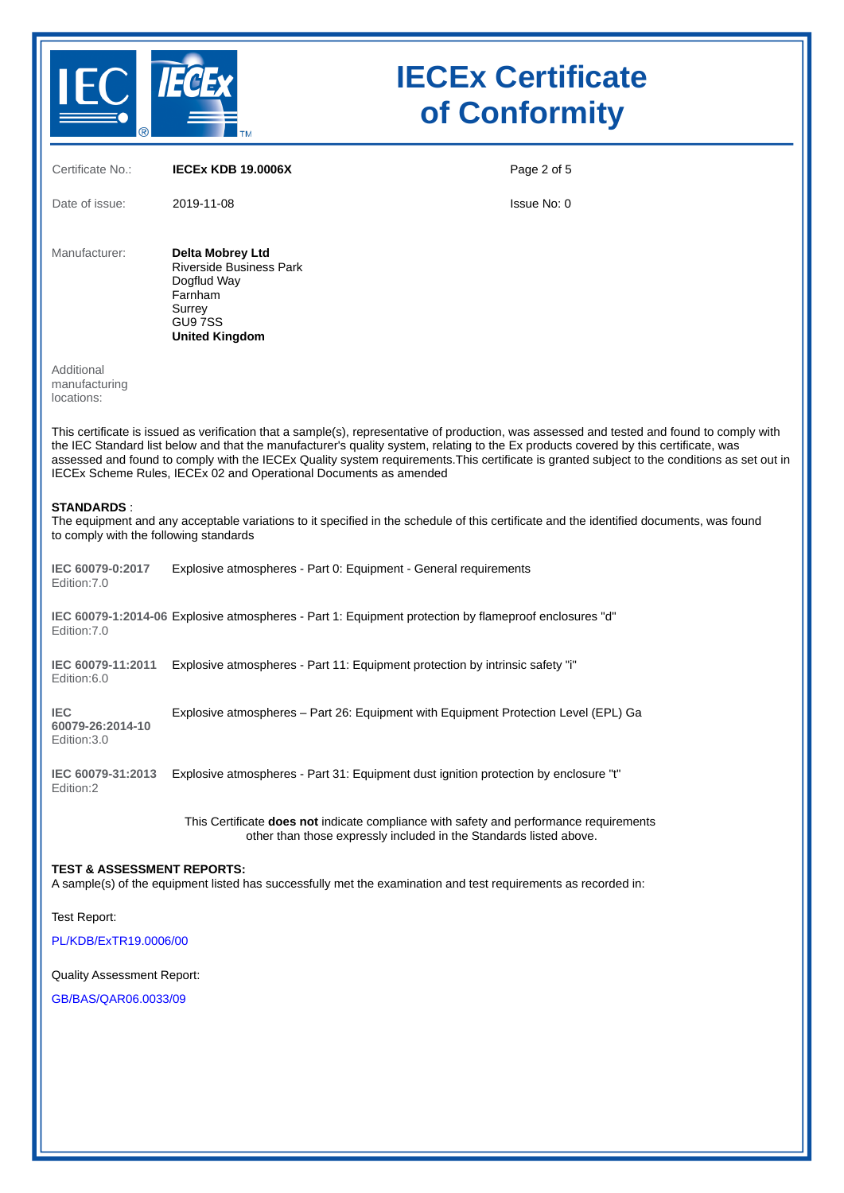

| Certificate No.:                                                                                                                                                                                                                                                                                                                                                                                                                                                                                         | <b>IECEX KDB 19.0006X</b>                                                                                                                                    | Page 2 of 5 |  |  |  |
|----------------------------------------------------------------------------------------------------------------------------------------------------------------------------------------------------------------------------------------------------------------------------------------------------------------------------------------------------------------------------------------------------------------------------------------------------------------------------------------------------------|--------------------------------------------------------------------------------------------------------------------------------------------------------------|-------------|--|--|--|
| Date of issue:                                                                                                                                                                                                                                                                                                                                                                                                                                                                                           | 2019-11-08                                                                                                                                                   | Issue No: 0 |  |  |  |
| Manufacturer:                                                                                                                                                                                                                                                                                                                                                                                                                                                                                            | Delta Mobrey Ltd<br><b>Riverside Business Park</b><br>Dogflud Way<br>Farnham<br>Surrey<br>GU97SS<br><b>United Kingdom</b>                                    |             |  |  |  |
| Additional<br>manufacturing<br>locations:                                                                                                                                                                                                                                                                                                                                                                                                                                                                |                                                                                                                                                              |             |  |  |  |
| This certificate is issued as verification that a sample(s), representative of production, was assessed and tested and found to comply with<br>the IEC Standard list below and that the manufacturer's quality system, relating to the Ex products covered by this certificate, was<br>assessed and found to comply with the IECEx Quality system requirements. This certificate is granted subject to the conditions as set out in<br>IECEx Scheme Rules, IECEx 02 and Operational Documents as amended |                                                                                                                                                              |             |  |  |  |
| <b>STANDARDS:</b><br>The equipment and any acceptable variations to it specified in the schedule of this certificate and the identified documents, was found<br>to comply with the following standards                                                                                                                                                                                                                                                                                                   |                                                                                                                                                              |             |  |  |  |
| IEC 60079-0:2017<br>Edition: 7.0                                                                                                                                                                                                                                                                                                                                                                                                                                                                         | Explosive atmospheres - Part 0: Equipment - General requirements                                                                                             |             |  |  |  |
| Edition: 7.0                                                                                                                                                                                                                                                                                                                                                                                                                                                                                             | IEC 60079-1:2014-06 Explosive atmospheres - Part 1: Equipment protection by flameproof enclosures "d"                                                        |             |  |  |  |
| IEC 60079-11:2011<br>Edition:6.0                                                                                                                                                                                                                                                                                                                                                                                                                                                                         | Explosive atmospheres - Part 11: Equipment protection by intrinsic safety "i"                                                                                |             |  |  |  |
| <b>IEC</b><br>60079-26:2014-10<br>Edition: 3.0                                                                                                                                                                                                                                                                                                                                                                                                                                                           | Explosive atmospheres - Part 26: Equipment with Equipment Protection Level (EPL) Ga                                                                          |             |  |  |  |
| IEC 60079-31:2013<br>Edition:2                                                                                                                                                                                                                                                                                                                                                                                                                                                                           | Explosive atmospheres - Part 31: Equipment dust ignition protection by enclosure "t"                                                                         |             |  |  |  |
|                                                                                                                                                                                                                                                                                                                                                                                                                                                                                                          | This Certificate does not indicate compliance with safety and performance requirements<br>other than those expressly included in the Standards listed above. |             |  |  |  |
| <b>TEST &amp; ASSESSMENT REPORTS:</b><br>A sample(s) of the equipment listed has successfully met the examination and test requirements as recorded in:                                                                                                                                                                                                                                                                                                                                                  |                                                                                                                                                              |             |  |  |  |
| Test Report:                                                                                                                                                                                                                                                                                                                                                                                                                                                                                             |                                                                                                                                                              |             |  |  |  |
| PL/KDB/ExTR19.0006/00                                                                                                                                                                                                                                                                                                                                                                                                                                                                                    |                                                                                                                                                              |             |  |  |  |
| Quality Assessment Report:                                                                                                                                                                                                                                                                                                                                                                                                                                                                               |                                                                                                                                                              |             |  |  |  |

[GB/BAS/QAR06.0033/09](https://www.iecex-certs.com/deliverables/REPORT/47005/view)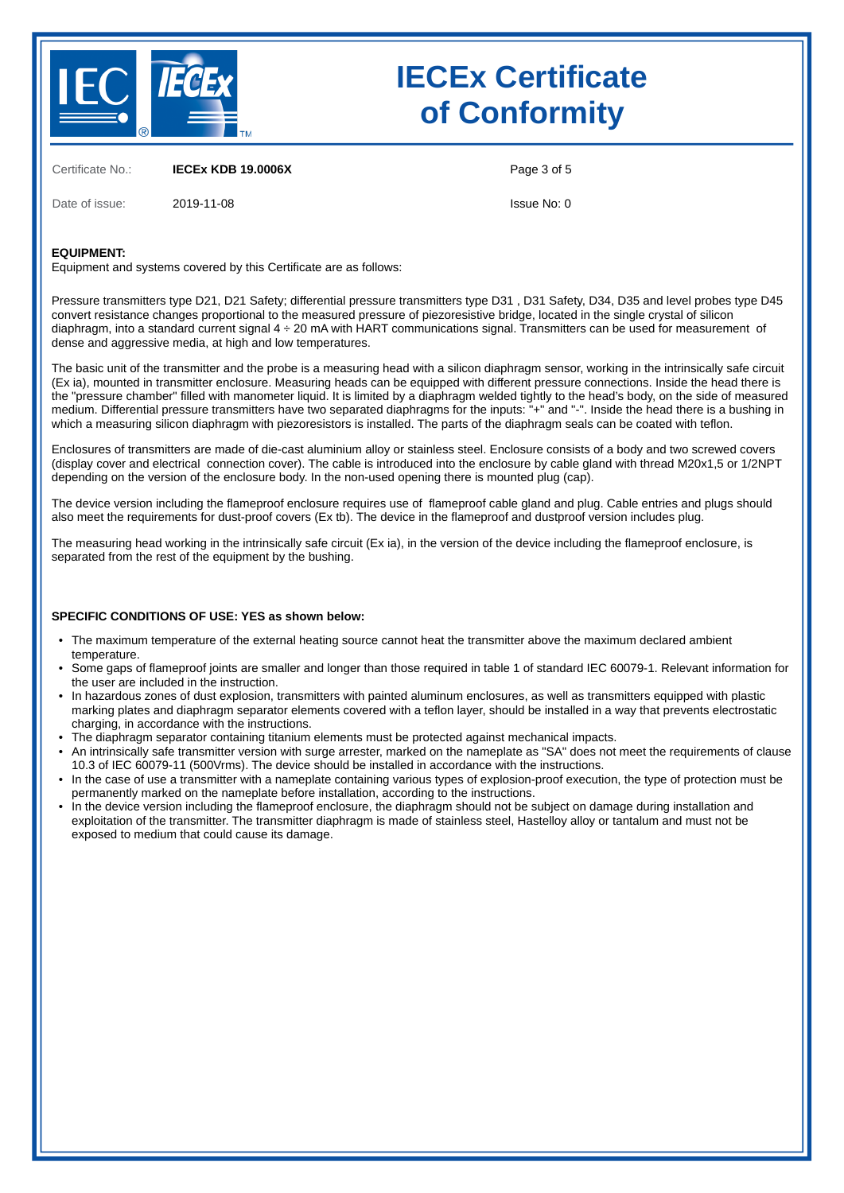

Certificate No.: **IECEx KDB 19.0006X**

Date of issue: 2019-11-08

Page 3 of 5

Issue No: 0

#### **EQUIPMENT:**

Equipment and systems covered by this Certificate are as follows:

Pressure transmitters type D21, D21 Safety; differential pressure transmitters type D31 , D31 Safety, D34, D35 and level probes type D45 convert resistance changes proportional to the measured pressure of piezoresistive bridge, located in the single crystal of silicon diaphragm, into a standard current signal 4 ÷ 20 mA with HART communications signal. Transmitters can be used for measurement of dense and aggressive media, at high and low temperatures.

The basic unit of the transmitter and the probe is a measuring head with a silicon diaphragm sensor, working in the intrinsically safe circuit (Ex ia), mounted in transmitter enclosure. Measuring heads can be equipped with different pressure connections. Inside the head there is the "pressure chamber" filled with manometer liquid. It is limited by a diaphragm welded tightly to the head's body, on the side of measured medium. Differential pressure transmitters have two separated diaphragms for the inputs: "+" and "-". Inside the head there is a bushing in which a measuring silicon diaphragm with piezoresistors is installed. The parts of the diaphragm seals can be coated with teflon.

Enclosures of transmitters are made of die-cast aluminium alloy or stainless steel. Enclosure consists of a body and two screwed covers (display cover and electrical connection cover). The cable is introduced into the enclosure by cable gland with thread M20x1,5 or 1/2NPT depending on the version of the enclosure body. In the non-used opening there is mounted plug (cap).

The device version including the flameproof enclosure requires use of flameproof cable gland and plug. Cable entries and plugs should also meet the requirements for dust-proof covers (Ex tb). The device in the flameproof and dustproof version includes plug.

The measuring head working in the intrinsically safe circuit (Ex ia), in the version of the device including the flameproof enclosure, is separated from the rest of the equipment by the bushing.

#### **SPECIFIC CONDITIONS OF USE: YES as shown below:**

- The maximum temperature of the external heating source cannot heat the transmitter above the maximum declared ambient temperature.
- Some gaps of flameproof joints are smaller and longer than those required in table 1 of standard IEC 60079-1. Relevant information for the user are included in the instruction.
- In hazardous zones of dust explosion, transmitters with painted aluminum enclosures, as well as transmitters equipped with plastic marking plates and diaphragm separator elements covered with a teflon layer, should be installed in a way that prevents electrostatic charging, in accordance with the instructions.
- The diaphragm separator containing titanium elements must be protected against mechanical impacts.
- An intrinsically safe transmitter version with surge arrester, marked on the nameplate as "SA" does not meet the requirements of clause 10.3 of IEC 60079-11 (500Vrms). The device should be installed in accordance with the instructions.
- In the case of use a transmitter with a nameplate containing various types of explosion-proof execution, the type of protection must be permanently marked on the nameplate before installation, according to the instructions.
- In the device version including the flameproof enclosure, the diaphragm should not be subject on damage during installation and exploitation of the transmitter. The transmitter diaphragm is made of stainless steel, Hastelloy alloy or tantalum and must not be exposed to medium that could cause its damage.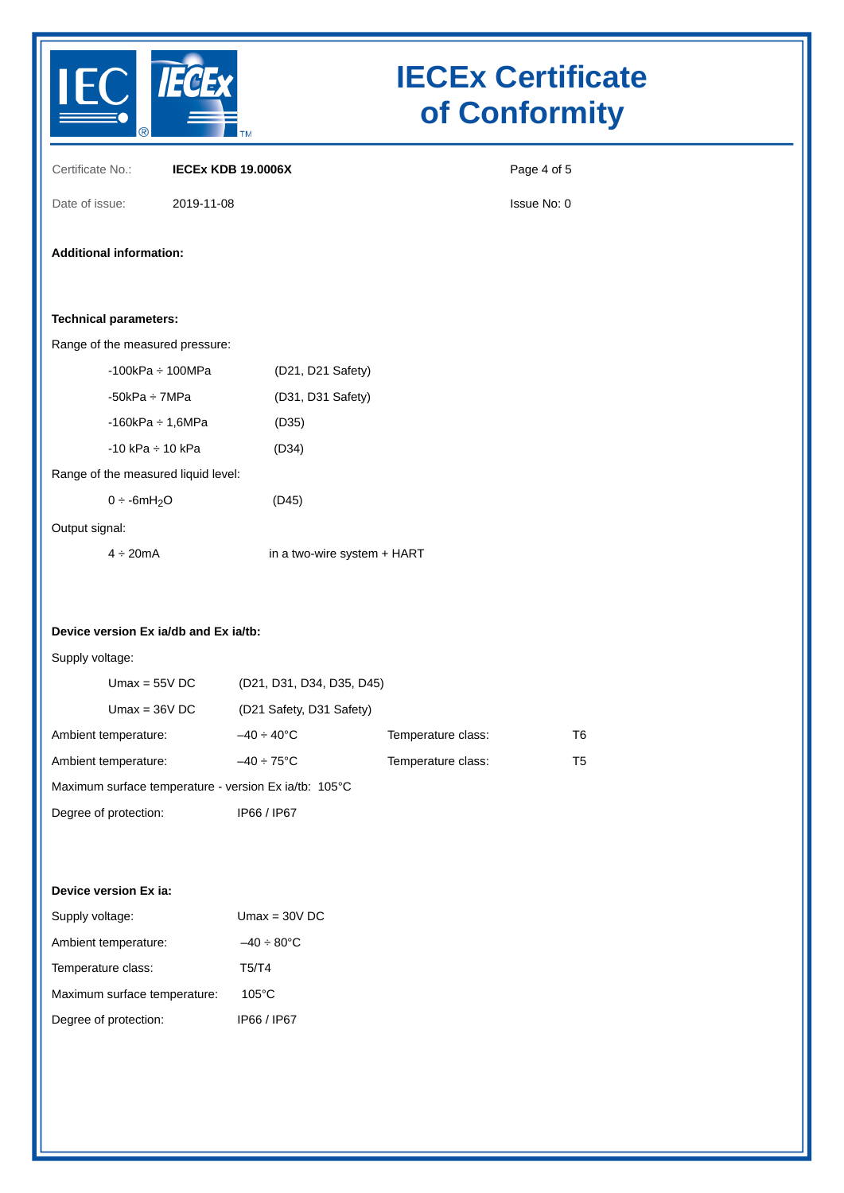

| Certificate No.:                                         | <b>IECEX KDB 19.0006X</b>                             |                             | Page 4 of 5    |  |  |  |  |
|----------------------------------------------------------|-------------------------------------------------------|-----------------------------|----------------|--|--|--|--|
| Date of issue:                                           | 2019-11-08                                            |                             | Issue No: 0    |  |  |  |  |
| <b>Additional information:</b>                           |                                                       |                             |                |  |  |  |  |
| <b>Technical parameters:</b>                             |                                                       |                             |                |  |  |  |  |
| Range of the measured pressure:                          |                                                       |                             |                |  |  |  |  |
| $-100$ k $Pa \div 100$ M $Pa$                            | (D21, D21 Safety)                                     |                             |                |  |  |  |  |
| $-50kPa \div 7MPa$                                       | (D31, D31 Safety)                                     |                             |                |  |  |  |  |
| $-160$ k $Pa \div 1,6$ M $Pa$                            | (D35)                                                 |                             |                |  |  |  |  |
| $-10$ kPa $\div$ 10 kPa                                  | (D34)                                                 |                             |                |  |  |  |  |
|                                                          | Range of the measured liquid level:                   |                             |                |  |  |  |  |
| $0 \div -6mH_2O$                                         | (D45)                                                 |                             |                |  |  |  |  |
| Output signal:                                           |                                                       |                             |                |  |  |  |  |
| $4 \div 20$ mA                                           |                                                       | in a two-wire system + HART |                |  |  |  |  |
| Device version Ex ia/db and Ex ia/tb:<br>Supply voltage: |                                                       |                             |                |  |  |  |  |
| $Umax = 55VDC$                                           | (D21, D31, D34, D35, D45)                             |                             |                |  |  |  |  |
| $Umax = 36VDC$                                           | (D21 Safety, D31 Safety)                              |                             |                |  |  |  |  |
| Ambient temperature:                                     | $-40 \div 40^{\circ}$ C                               | Temperature class:          | T <sub>6</sub> |  |  |  |  |
| Ambient temperature:                                     | $-40 \div 75^{\circ}$ C                               | Temperature class:          | T <sub>5</sub> |  |  |  |  |
|                                                          | Maximum surface temperature - version Ex ia/tb: 105°C |                             |                |  |  |  |  |
| Degree of protection:                                    | IP66 / IP67                                           |                             |                |  |  |  |  |
|                                                          |                                                       |                             |                |  |  |  |  |
| Device version Ex ia:                                    |                                                       |                             |                |  |  |  |  |
| Supply voltage:                                          | $Umax = 30VDC$                                        |                             |                |  |  |  |  |
| Ambient temperature:                                     | $-40 \div 80^{\circ}$ C                               |                             |                |  |  |  |  |
| Temperature class:                                       | T5/T4                                                 |                             |                |  |  |  |  |
| Maximum surface temperature:                             | $105^{\circ}$ C                                       |                             |                |  |  |  |  |
| Degree of protection:                                    | IP66 / IP67                                           |                             |                |  |  |  |  |
|                                                          |                                                       |                             |                |  |  |  |  |